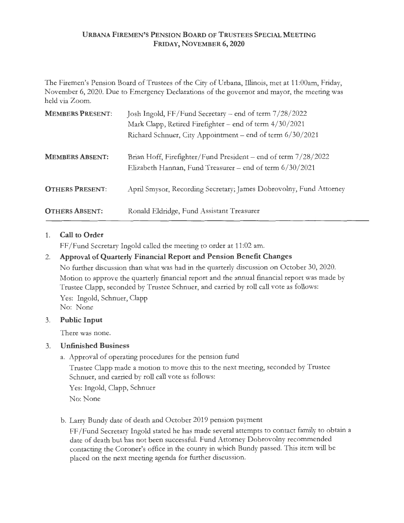### **URBANA FIREMEN'S PENSION BOARD OF TRUSTEES SPECIAL MEETING FRIDAY, NOVEMBER 6, 2020**

The Firemen's Pension Board of Trustees of the City of Urbana, Illinois, met at 11 :00am, Friday, November 6, 2020. Due to Emergency Declarations of the governor and mayor, the meeting was held via Zoom.

| <b>MEMBERS PRESENT:</b> | Josh Ingold, FF/Fund Secretary - end of term 7/28/2022<br>Mark Clapp, Retired Firefighter - end of term 4/30/2021<br>Richard Schnuer, City Appointment - end of term 6/30/2021 |
|-------------------------|--------------------------------------------------------------------------------------------------------------------------------------------------------------------------------|
| <b>MEMBERS ABSENT:</b>  | Brian Hoff, Firefighter/Fund President – end of term 7/28/2022<br>Elizabeth Hannan, Fund Treasurer – end of term 6/30/2021                                                     |
| <b>OTHERS PRESENT:</b>  | April Smysor, Recording Secretary; James Dobrovolny, Fund Attorney                                                                                                             |
| <b>OTHERS ABSENT:</b>   | Ronald Eldridge, Fund Assistant Treasurer                                                                                                                                      |

**1. Call to Order** 

FF/Fund Secretary Ingold called the meeting to order at 11:02 am.

# 2. **Approval of Quarterly Financial Report and Pension Benefit Changes**

No further discussion than what was had in the quarterly discussion on October 30, 2020. Motion to approve the quarterly financial report and the annual financial report was made by Trustee Clapp, seconded by Trustee Schnuer, and carried by roll call vote as follows: Yes: Ingold, Schnuer, Clapp No: None

# 3. **Public Input**

There was none.

# 3. **Unfinished Business**

a. Approval of operating procedures for the pension fund

Trustee Clapp made a motion to move this to the next meeting, seconded by Trustee Schnuer, and carried by roll call vote as follows:

Yes: Ingold, Clapp, Schnuer

No: None

b. Larry Bundy date of death and October 2019 pension payment

FF/Fund Secretary Ingold stated he has made several attempts to contact family to obtain a date of death but has not been successful. Fund Attorney Dobrovolny recommended contacting the Coroner's office in the county in which Bundy passed. This item will be placed on the next meeting agenda for further discussion.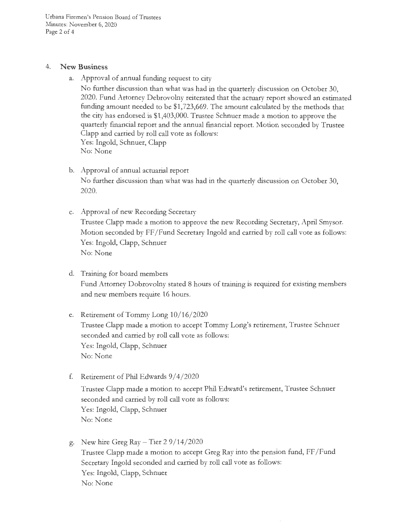Urbana Firemen's Pension Board of Trustees Minutes: November 6, 2020 Page 2 of 4

### 4. **New Business**

a. Approval of annual funding request to city

No further discussion than what was had in the quarterly discussion on October 30, 2020. Fund Attorney Debrovolny reiterated that the actuary report showed an estimated funding amount needed to be \$1,723,669. The amount calculated by the methods that the city has endorsed is \$1,403,000. Trustee Schnuer made a motion to approve the quarterly financial report and the annual financial report. Motion seconded by Trustee Clapp and carried by roll call vote as follows: Yes: Ingold, Schnuer, Clapp No: None

- b. Approval of annual actuarial report No further discussion than what was had in the quarterly discussion on October 30, 2020.
- c. Approval of new Recording Secretary Trustee Clapp made a motion to approve the new Recording Secretary, April Smysor. Motion seconded by FF/Fund Secretary Ingold and carried by roll call vote as follows: Yes: Ingold, Clapp, Schnuer No: None
- d. Training for board members Fund Attorney Dobrovolny stated 8 hours of training is required for existing members and new members require 16 hours.
- e. Retirement of Tommy Long  $10/16/2020$ Trustee Clapp made a motion to accept Tommy Long's retirement, Trustee Schnuer seconded and carried by roll call vote as follows: Yes: Ingold, Clapp, Schnuer No: None
- f. Retirement of Phil Edwards 9/ 4/ 2020

Trustee Clapp made a motion to accept Phil Edward's retirement, Trustee Schnuer seconded and carried by roll call vote as follows: Yes: Ingold, Clapp, Schnuer No: None

g. New hire Greg Ray – Tier  $29/14/2020$ Trustee Clapp made a motion to accept Greg Ray into the pension fund, FF / Fund Secretary Ingold seconded and carried by roll call vote as follows: Yes: Ingold, Clapp, Schnuer No: None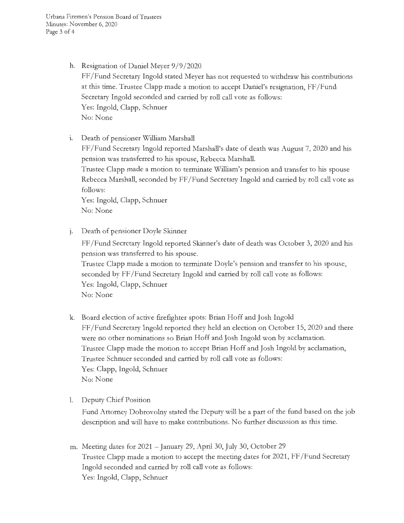Urbana Firemen's Pension Board of Trustees Minutes: November 6, 2020 Page 3 of 4

- h. Resignation of Daniel Meyer 9/9/2020 FF /Fund Secretary Ingold stated Meyer has not requested to withdraw his contributions at this time. Trustee Clapp made a motion to accept Daniel's resignation, FF /Fund Secretary Ingold seconded and carried by roll call vote as follows: Yes: Ingold, Clapp, Schnuer No: None
- 1. Death of pensioner William Marshall

FF /Fund Secretary Ingold reported Marshall's date of death was August 7, 2020 and his pension was transferred to his spouse, Rebecca Marshall.

Trustee Clapp made a motion to terminate William's pension and transfer to his spouse Rebecca Marshall, seconded by FF /Fund Secretary Ingold and carried by roll call vote as follows:

Yes: Ingold, Clapp, Schnuer No: None

j. Death of pensioner Doyle Skinner

FF /Fund Secretary Ingold reported Skinner's date of death was October 3, 2020 and his pension was transferred to his spouse.

Trustee Clapp made a motion to terminate Doyle's pension and transfer to his spouse, seconded by FF /Fund Secretary Ingold and carried by roll call vote as follows: Yes: Ingold, Clapp, Schnuer No: None

- k. Board election of active firefighter spots: Brian Hoff and Josh Ingold FF /Fund Secretary Ingold reported they held an election on October 15, 2020 and there were no other nominations so Brian Hoff and Josh Ingold won by acclamation. Trustee Clapp made the motion to accept Brian Hoff and Josh Ingold by acclamation, Trustee Schnuer seconded and carried by roll call vote as follows: Yes: Clapp, Ingold, Schnuer No: None
- 1. Deputy Chief Position

Fund Attorney Dobrovolny stated the Deputy will be a part of the fund based on the job description and will have to make contributions. No further discussion as this time.

m. Meeting dates for 2021 - January 29, April 30, July 30, October 29 Trustee Clapp made a motion to accept the meeting dates for 2021, FF /Fund Secretary Ingold seconded and carried by roll call vote as follows: Yes: Ingold, Clapp, Schnuer